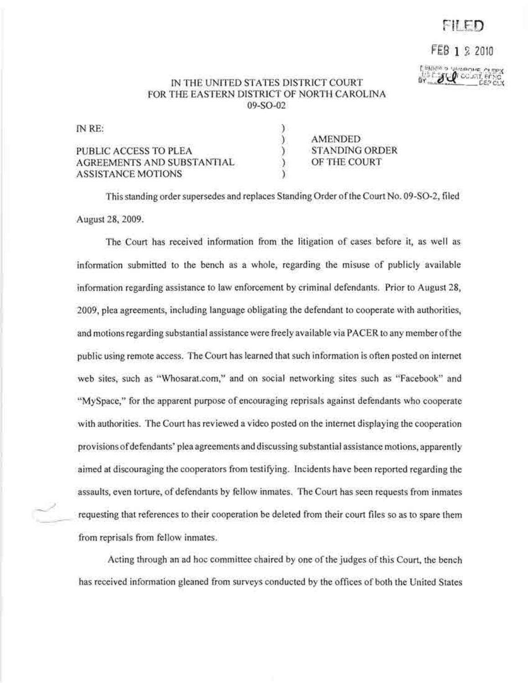## $F$ i $F$   $D$

## FEG 1 2 2010

**ALL** COUNT OF THE

## IN THE UNITED STATES DISTRICT COURT FOR THE EASTERN DISTRICT OF NORTH CAROLINA 09-S0-02

| IN RE:                     |                |
|----------------------------|----------------|
|                            | AMENDED        |
| PUBLIC ACCESS TO PLEA      | STANDING ORDER |
| AGREEMENTS AND SUBSTANTIAL | OF THE COURT   |
| <b>ASSISTANCE MOTIONS</b>  |                |

This standing order supersedes and replaces Standing Order ofthe Court No. 09-S0-2, filed August 28,2009.

The Court has received information from the litigation of cases before it, as well as information submitted to the bench as a whole, regarding the misuse of publicly available information regarding assistance to law enforcement by criminal defendants. Prior to August 28, 2009, plea agreements, including language obligating the defendant to cooperate with authorities, and motions regarding substantial assistance were freely available via PACER to any member ofthe public using remote access. The Court has learned that such information is often posted on internet web sites, such as "Whosarat.com," and on social networking sites such as "Facebook" and "MySpace," for the apparent purpose of encouraging reprisals against defendants who cooperate with authorities. The Court has reviewed a video posted on the internet displaying the cooperation provisions of defendants' plea agreements and discussing substantial assistance motions, apparently aimed at discouraging the cooperators from testifying. Incidents have been reported regarding the assaults, even torture, of defendants by fellow inmates. The Court has seen requests from inmates requesting that references to their cooperation be deleted from their court files so as to spare them from reprisals from fellow inmates.

Acting through an ad hoc committee chaired by one of the judges of this Court, the bench has received information gleaned from surveys conducted by the offices of both the United States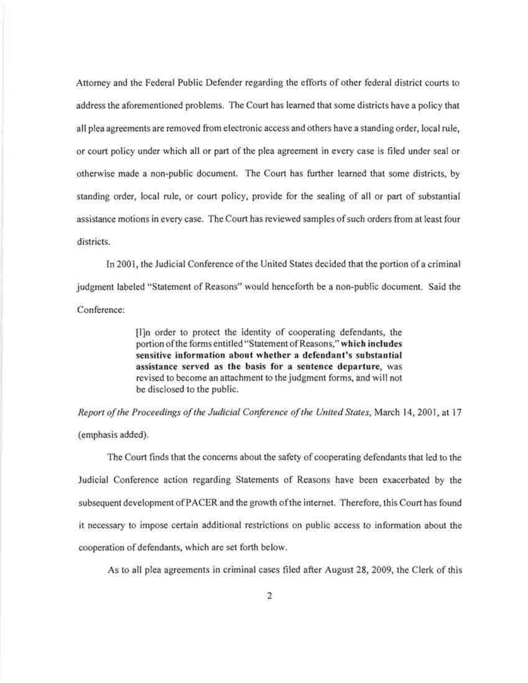Attorney and the Federal Public Defender regarding the efforts of other federal district courts to address the aforementioned problems. The Court has learned that some districts have a policy that all plea agreements are removed from electronic access and others have a standing order, local rule, or court policy under which all or part of the plea agreement in every case is filed under seal or otherwise made a non-public document. The Court has further learned that some districts, by standing order, local rule, or court policy, provide for the sealing of all or part of substantial assistance motions in every case. The Court has reviewed samples of such orders from at least four districts.

In 2001, the Judicial Conference of the United States decided that the portion of a criminal judgment labeled "Statement of Reasons" would henceforth be a non-public document. Said the Conference:

> [I]n order to protect the identity of cooperating defendants, the portion of the forms entitled "Statement of Reasons," which includes sensitive information about whether a defendant's substantial assistance served as the basis for a sentence departure, was revised to become an attachment to the judgment forms, and wi II not be disclosed to the public.

*Report ofthe Proceedings ofthe Judicial Conference ofthe United States,* March 14,2001, at 17 (emphasis added).

The Court finds that the concerns about the safety of cooperating defendants that led to the Judicial Conference action regarding Statements of Reasons have been exacerbated by the subsequent development ofPACER and the growth ofthe internet. Therefore, this Court has found it necessary to impose certain additional restrictions on public access to infonnation about the cooperation of defendants, which are set forth below.

As to all plea agreements in criminal cases filed after August 28, 2009, the Clerk of this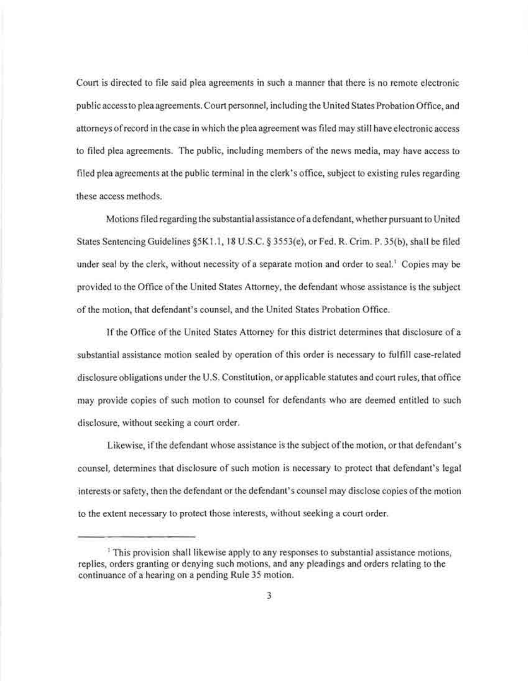Court is directed to file said plea agreements in such a manner that there is no remote electronic public access to plea agreements. Court personnel, including the United States Probation Office, and attorneys ofrecord in the case in which the plea agreement was filed may still have electronic access to filed plea agreements. The public, including members of the news media, may have access to filed plea agreements at the public terminal in the clerk's office, subject to existing rules regarding these access methods.

Motions filed regarding the substantial assistance ofa defendant, whether pursuant to United States Sentencing Guidelines §5K1.1, 18 U.S.C. § 3553(e), or Fed. R. Crim. P. 35(b), shall be filed under seal by the clerk, without necessity of a separate motion and order to seal.<sup>1</sup> Copies may be provided to the Office ofthe United States Attorney, the defendant whose assistance is the subject of the motion, that defendant's counsel, and the United States Probation Office.

If the Office of the United States Attorney for this district determines that disclosure of a substantial assistance motion sealed by operation of this order is necessary to fulfill case-related disclosure obligations under the U.S. Constitution, or applicable statutes and court rules, that office may provide copies of such motion to counsel for defendants who are deemed entitled to such disclosure, without seeking a court order.

Likewise, if the defendant whose assistance is the subject of the motion, or that defendant's counsel, determines that disclosure of such motion is necessary to protect that defendant's legal interests or safety, then the defendant or the defendant's counsel may disclose copies ofthe motion to the extent necessary to protect those interests, without seeking a court order.

<sup>&</sup>lt;sup>1</sup> This provision shall likewise apply to any responses to substantial assistance motions, replies, orders granting or denying such motions, and any pleadings and orders relating to the continuance of a hearing on a pending Rule 35 motion.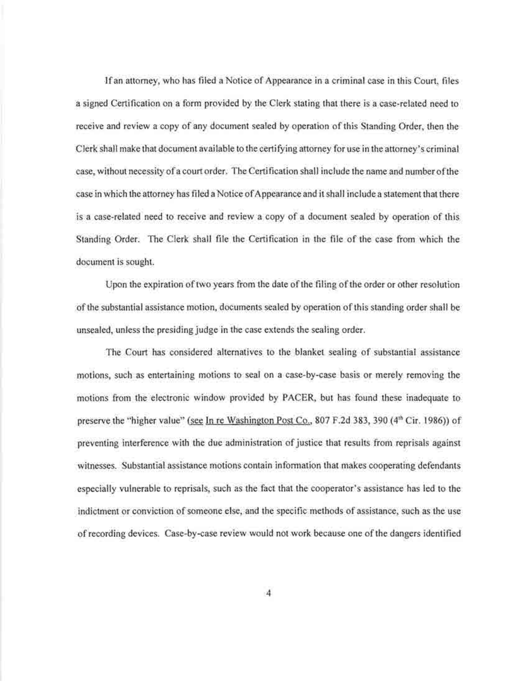Ifan attorney, who has filed a Notice of Appearance in a criminal case in this Court, files a signed Certification on a form provided by the Clerk stating that there is a case-related need to receive and review a copy of any document sealed by operation of this Standing Order, then the Clerk shall make that document available to the certifying attorney for use in the attorney's criminal case, without necessity of a court order. The Certification shall include the name and number of the case in which the attorney has filed a Notice of Appearance and it shall include a statement that there is a case-related need to receive and review a copy of a document sealed by operation of this Standing Order. The Clerk shall file the Certification in the file of the case from which the document is sought.

Upon the expiration of two years from the date of the filing of the order or other resolution of the substantial assistance motion, documents sealed by operation ofthis standing order shall be unsealed, unless the presiding judge in the case extends the sealing order.

The Court has considered alternatives to the blanket sealing of substantial assistance motions, such as entertaining motions to seal on a case-by-case basis or merely removing the motions from the electronic window provided by PACER, but has found these inadequate to preserve the "higher value" (see In re Washington Post Co., 807 F.2d 383, 390 (4<sup>th</sup> Cir. 1986)) of preventing interference with the due administration of justice that results from reprisals against witnesses. Substantial assistance motions contain information that makes cooperating defendants especially vulnerable to reprisals, such as the fact that the cooperator's assistance has led to the indictment or conviction of someone else, and the specific methods of assistance, such as the use of recording devices. Case-by-case review would not work because one of the dangers identified